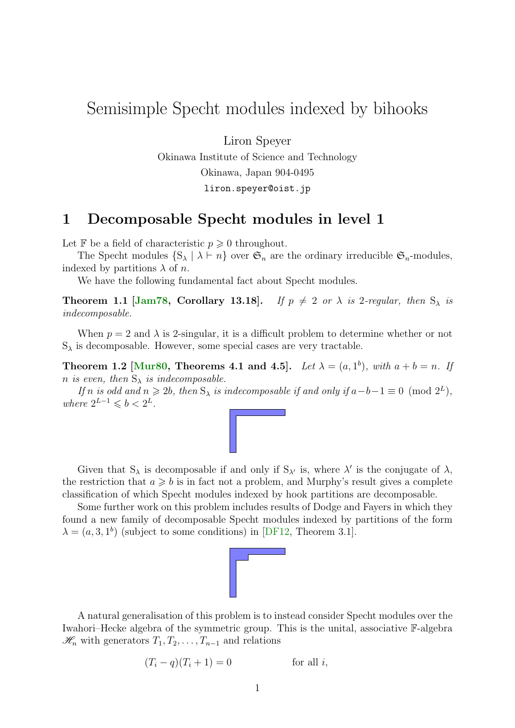# <span id="page-0-0"></span>Semisimple Specht modules indexed by bihooks

Liron Speyer

Okinawa Institute of Science and Technology Okinawa, Japan 904-0495 liron.speyer@oist.jp

#### 1 Decomposable Specht modules in level 1

Let  $\mathbb F$  be a field of characteristic  $p \geq 0$  throughout.

The Specht modules  $\{S_{\lambda} \mid \lambda \vdash n\}$  over  $\mathfrak{S}_n$  are the ordinary irreducible  $\mathfrak{S}_n$ -modules, indexed by partitions  $\lambda$  of n.

We have the following fundamental fact about Specht modules.

**Theorem 1.1 [\[Jam78,](#page-6-0) Corollary 13.18].** If  $p \neq 2$  or  $\lambda$  is 2-regular, then  $S_{\lambda}$  is indecomposable.

When  $p = 2$  and  $\lambda$  is 2-singular, it is a difficult problem to determine whether or not  $S_{\lambda}$  is decomposable. However, some special cases are very tractable.

Theorem 1.2 [\[Mur80,](#page-7-0) Theorems 4.1 and 4.5]. Let  $\lambda = (a, 1^b)$ , with  $a + b = n$ . If n is even, then  $S_{\lambda}$  is indecomposable.

If n is odd and  $n \ge 2b$ , then  $S_{\lambda}$  is indecomposable if and only if  $a - b - 1 \equiv 0 \pmod{2^{L}}$ , where  $2^{L-1} \leqslant b < 2^L$ .



Given that  $S_\lambda$  is decomposable if and only if  $S_{\lambda'}$  is, where  $\lambda'$  is the conjugate of  $\lambda$ , the restriction that  $a \geq b$  is in fact not a problem, and Murphy's result gives a complete classification of which Specht modules indexed by hook partitions are decomposable.

Some further work on this problem includes results of Dodge and Fayers in which they found a new family of decomposable Specht modules indexed by partitions of the form  $\lambda = (a, 3, 1^b)$  (subject to some conditions) in [\[DF12,](#page-6-1) Theorem 3.1].



A natural generalisation of this problem is to instead consider Specht modules over the Iwahori–Hecke algebra of the symmetric group. This is the unital, associative F-algebra  $\mathcal{H}_n$  with generators  $T_1, T_2, \ldots, T_{n-1}$  and relations

$$
(T_i - q)(T_i + 1) = 0
$$
 for all *i*,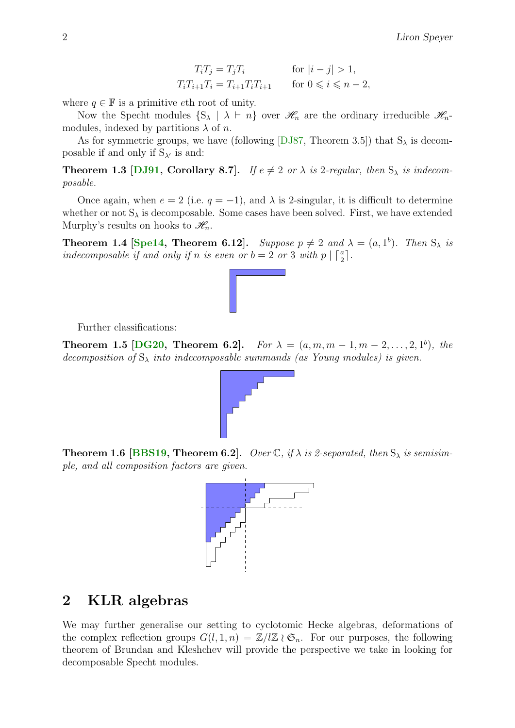$$
T_i T_j = T_j T_i
$$
 for  $|i - j| > 1$ ,  
\n
$$
T_i T_{i+1} T_i = T_{i+1} T_i T_{i+1}
$$
 for  $0 \le i \le n - 2$ ,

<span id="page-1-0"></span>where  $q \in \mathbb{F}$  is a primitive eth root of unity.

Now the Specht modules  $\{S_{\lambda} \mid \lambda \vdash n\}$  over  $\mathcal{H}_n$  are the ordinary irreducible  $\mathcal{H}_n$ modules, indexed by partitions  $\lambda$  of n.

As for symmetric groups, we have (following [\[DJ87,](#page-6-2) Theorem 3.5]) that  $S_\lambda$  is decomposable if and only if  $S_{\lambda'}$  is and:

**Theorem 1.3 [\[DJ91,](#page-6-3) Corollary 8.7].** If  $e \neq 2$  or  $\lambda$  is 2-regular, then  $S_{\lambda}$  is indecomposable.

Once again, when  $e = 2$  (i.e.  $q = -1$ ), and  $\lambda$  is 2-singular, it is difficult to determine whether or not  $S_{\lambda}$  is decomposable. Some cases have been solved. First, we have extended Murphy's results on hooks to  $\mathcal{H}_n$ .

**Theorem 1.4 [\[Spe14,](#page-7-1) Theorem 6.12].** Suppose  $p \neq 2$  and  $\lambda = (a, 1^b)$ . Then  $S_{\lambda}$  is indecomposable if and only if n is even or  $b = 2$  or 3 with  $p \mid \lceil \frac{a}{2} \rceil$ .



**Theorem 1.5 [\[DG20,](#page-6-4) Theorem 6.2].** For  $\lambda = (a, m, m - 1, m - 2, ..., 2, 1^b)$ , the decomposition of  $S_{\lambda}$  into indecomposable summands (as Young modules) is given.





### 2 KLR algebras

We may further generalise our setting to cyclotomic Hecke algebras, deformations of the complex reflection groups  $G(l, 1, n) = \mathbb{Z}/l\mathbb{Z} \wr \mathfrak{S}_n$ . For our purposes, the following theorem of Brundan and Kleshchev will provide the perspective we take in looking for decomposable Specht modules.

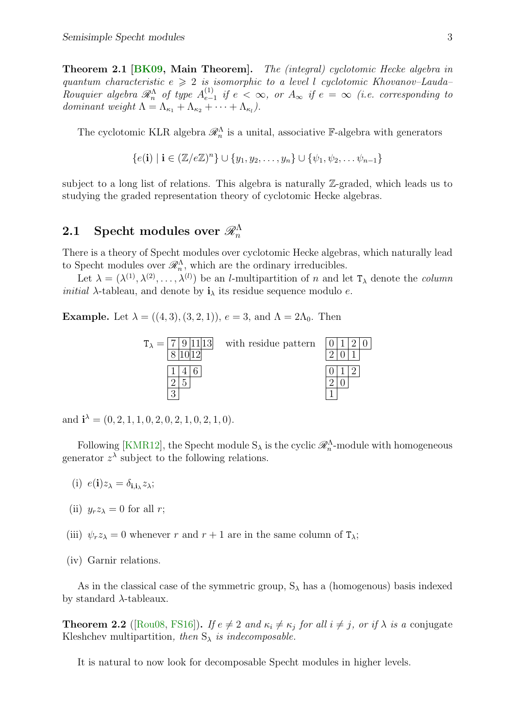<span id="page-2-0"></span>Theorem 2.1 [\[BK09,](#page-6-6) Main Theorem]. The (integral) cyclotomic Hecke algebra in quantum characteristic  $e \geq 2$  is isomorphic to a level l cyclotomic Khovanov–Lauda– Rouquier algebra  $\mathscr{R}_n^{\Lambda}$  of type  $A_{e-}^{(1)}$  $\sum_{e-1}^{(1)}$  if  $e < ∞$ , or  $A_{\infty}$  if  $e = ∞$  (i.e. corresponding to dominant weight  $\Lambda = \Lambda_{\kappa_1} + \Lambda_{\kappa_2} + \cdots + \Lambda_{\kappa_l}$ .

The cyclotomic KLR algebra  $\mathcal{R}_n^{\Lambda}$  is a unital, associative F-algebra with generators

$$
\{e(\mathbf{i}) \mid \mathbf{i} \in (\mathbb{Z}/e\mathbb{Z})^n\} \cup \{y_1, y_2, \dots, y_n\} \cup \{\psi_1, \psi_2, \dots, \psi_{n-1}\}\
$$

subject to a long list of relations. This algebra is naturally Z-graded, which leads us to studying the graded representation theory of cyclotomic Hecke algebras.

## 2.1 Specht modules over  $\mathscr{R}^\Lambda_n$

There is a theory of Specht modules over cyclotomic Hecke algebras, which naturally lead to Specht modules over  $\mathcal{R}_n^{\Lambda}$ , which are the ordinary irreducibles.

Let  $\lambda = (\lambda^{(1)}, \lambda^{(2)}, \ldots, \lambda^{(l)})$  be an *l*-multipartition of *n* and let  $T_{\lambda}$  denote the *column initial*  $\lambda$ -tableau, and denote by  $\mathbf{i}_{\lambda}$  its residue sequence modulo e.

**Example.** Let  $\lambda = ((4, 3), (3, 2, 1)), e = 3$ , and  $\Lambda = 2\Lambda_0$ . Then



and  $\mathbf{i}^{\lambda} = (0, 2, 1, 1, 0, 2, 0, 2, 1, 0, 2, 1, 0).$ 

Following [\[KMR12\]](#page-6-7), the Specht module  $S_{\lambda}$  is the cyclic  $\mathscr{R}_{n}^{\Lambda}$ -module with homogeneous generator  $z^{\lambda}$  subject to the following relations.

- (i)  $e(\mathbf{i})z_{\lambda} = \delta_{\mathbf{i}, \mathbf{i}_{\lambda}} z_{\lambda};$
- (ii)  $y_rz_\lambda=0$  for all r;
- (iii)  $\psi_r z_\lambda = 0$  whenever r and  $r + 1$  are in the same column of  $T_\lambda$ ;
- (iv) Garnir relations.

As in the classical case of the symmetric group,  $S_\lambda$  has a (homogenous) basis indexed by standard  $\lambda$ -tableaux.

**Theorem 2.2** ([\[Rou08,](#page-7-2) [FS16\]](#page-6-8)). If  $e \neq 2$  and  $\kappa_i \neq \kappa_j$  for all  $i \neq j$ , or if  $\lambda$  is a conjugate Kleshchev multipartition, then  $S_{\lambda}$  is indecomposable.

It is natural to now look for decomposable Specht modules in higher levels.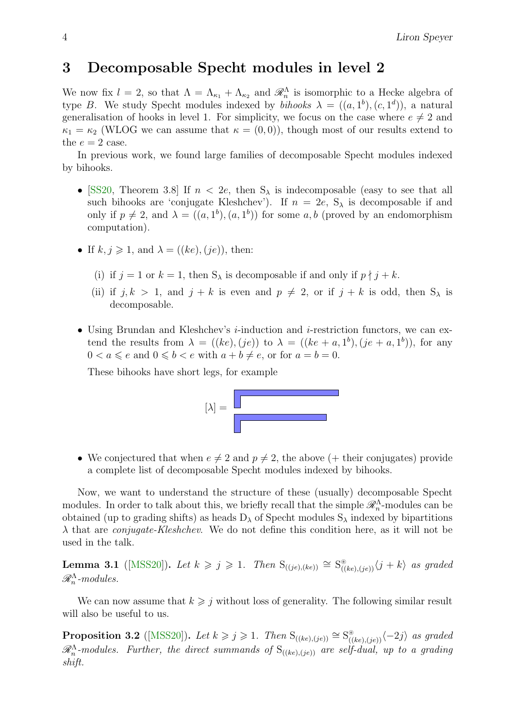### <span id="page-3-0"></span>3 Decomposable Specht modules in level 2

We now fix  $l = 2$ , so that  $\Lambda = \Lambda_{\kappa_1} + \Lambda_{\kappa_2}$  and  $\mathscr{R}_n^{\Lambda}$  is isomorphic to a Hecke algebra of type B. We study Specht modules indexed by *bihooks*  $\lambda = ((a, 1^b), (c, 1^d))$ , a natural generalisation of hooks in level 1. For simplicity, we focus on the case where  $e \neq 2$  and  $\kappa_1 = \kappa_2$  (WLOG we can assume that  $\kappa = (0,0)$ ), though most of our results extend to the  $e = 2$  case.

In previous work, we found large families of decomposable Specht modules indexed by bihooks.

- [\[SS20,](#page-7-3) Theorem 3.8] If  $n < 2e$ , then  $S_\lambda$  is indecomposable (easy to see that all such bihooks are 'conjugate Kleshchev'). If  $n = 2e$ ,  $S_{\lambda}$  is decomposable if and only if  $p \neq 2$ , and  $\lambda = ((a, 1^b), (a, 1^b))$  for some  $a, b$  (proved by an endomorphism computation).
- If  $k, j \geqslant 1$ , and  $\lambda = ((ke), (je))$ , then:
	- (i) if  $j = 1$  or  $k = 1$ , then  $S_{\lambda}$  is decomposable if and only if  $p \nmid j + k$ .
	- (ii) if  $j, k > 1$ , and  $j + k$  is even and  $p \neq 2$ , or if  $j + k$  is odd, then  $S_\lambda$  is decomposable.
- Using Brundan and Kleshchev's *i*-induction and *i*-restriction functors, we can extend the results from  $\lambda = ((ke), (je))$  to  $\lambda = ((ke + a, 1<sup>b</sup>), (je + a, 1<sup>b</sup>)),$  for any  $0 < a \leqslant e$  and  $0 \leqslant b < e$  with  $a + b \neq e$ , or for  $a = b = 0$ .

These bihooks have short legs, for example



• We conjectured that when  $e \neq 2$  and  $p \neq 2$ , the above (+ their conjugates) provide a complete list of decomposable Specht modules indexed by bihooks.

Now, we want to understand the structure of these (usually) decomposable Specht modules. In order to talk about this, we briefly recall that the simple  $\mathscr{R}_n^{\Lambda}$ -modules can be obtained (up to grading shifts) as heads  $D_{\lambda}$  of Specht modules  $S_{\lambda}$  indexed by bipartitions  $\lambda$  that are *conjugate-Kleshchev*. We do not define this condition here, as it will not be used in the talk.

**Lemma 3.1** ([\[MSS20\]](#page-7-4)). Let  $k \geq j \geq 1$ . Then  $S_{((je),(ke))} \cong S^*_{((ke),(je))}\langle j+k\rangle$  as graded  $\mathscr{R}_n^{\Lambda}$ -modules.

We can now assume that  $k \geq i$  without loss of generality. The following similar result will also be useful to us.

**Proposition 3.2** ([\[MSS20\]](#page-7-4)). Let  $k \ge j \ge 1$ . Then  $S_{((ke),(je))} \cong S_{((ke),(je))}^{\circ} \langle -2j \rangle$  as graded  $\mathscr{R}^{\Lambda}_n$ -modules. Further, the direct summands of  $S_{((ke),(je))}$  are self-dual, up to a grading shift.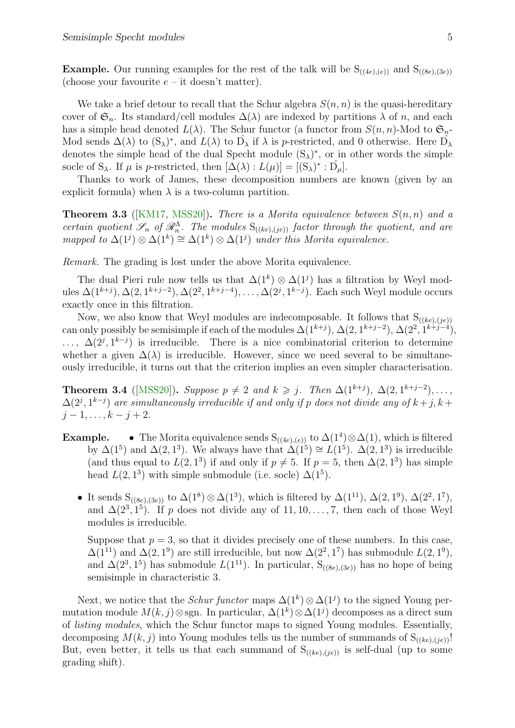<span id="page-4-0"></span>**Example.** Our running examples for the rest of the talk will be  $S_{((4e),(e))}$  and  $S_{((8e),(3e))}$ (choose your favourite  $e$  – it doesn't matter).

We take a brief detour to recall that the Schur algebra  $S(n, n)$  is the quasi-hereditary cover of  $\mathfrak{S}_n$ . Its standard/cell modules  $\Delta(\lambda)$  are indexed by partitions  $\lambda$  of n, and each has a simple head denoted  $L(\lambda)$ . The Schur functor (a functor from  $S(n, n)$ -Mod to  $\mathfrak{S}_n$ -Mod sends  $\Delta(\lambda)$  to  $(S_{\lambda})^*$ , and  $L(\lambda)$  to  $\hat{D_{\lambda}}$  if  $\lambda$  is p-restricted, and 0 otherwise. Here  $\hat{D_{\lambda}}$ denotes the simple head of the dual Specht module  $(S_{\lambda})^*$ , or in other words the simple socle of S<sub> $\lambda$ </sub>. If  $\mu$  is p-restricted, then  $[\Delta(\lambda): L(\mu)] = [(S_{\lambda})^* : \hat{D_{\mu}}]$ .

Thanks to work of James, these decomposition numbers are known (given by an explicit formula) when  $\lambda$  is a two-column partition.

**Theorem 3.3** ([\[KM17,](#page-6-9) [MSS20\]](#page-7-4)). There is a Morita equivalence between  $S(n, n)$  and a certain quotient  $\mathscr{S}_n$  of  $\mathscr{R}_n^{\Lambda}$ . The modules  $S_{((ke),(je))}$  factor through the quotient, and are mapped to  $\Delta(1^j) \otimes \Delta(1^k) \cong \Delta(1^k) \otimes \Delta(1^j)$  under this Morita equivalence.

Remark. The grading is lost under the above Morita equivalence.

The dual Pieri rule now tells us that  $\Delta(1^k) \otimes \Delta(1^j)$  has a filtration by Weyl modules  $\Delta(1^{k+j}), \Delta(2, 1^{k+j-2}), \Delta(2^2, 1^{k+j-4}), \ldots, \Delta(2^j, 1^{k-j}).$  Each such Weyl module occurs exactly once in this filtration.

Now, we also know that Weyl modules are indecomposable. It follows that  $S_{((ke),(je))}$ can only possibly be semisimple if each of the modules  $\Delta(1^{k+j}), \Delta(2, 1^{k+j-2}), \Delta(2^2, 1^{k+j-4}),$  $\ldots$ ,  $\Delta(2^j, 1^{k-j})$  is irreducible. There is a nice combinatorial criterion to determine whether a given  $\Delta(\lambda)$  is irreducible. However, since we need several to be simultaneously irreducible, it turns out that the criterion implies an even simpler characterisation.

**Theorem 3.4** ([\[MSS20\]](#page-7-4)). Suppose  $p \neq 2$  and  $k \geq j$ . Then  $\Delta(1^{k+j})$ ,  $\Delta(2, 1^{k+j-2})$ , ...  $\Delta(2^j, 1^{k-j})$  are simultaneously irreducible if and only if p does not divide any of  $k+j, k+j$  $j-1, \ldots, k-j+2.$ 

- **Example.** The Morita equivalence sends  $S_{((4e),(e))}$  to  $\Delta(1^4) \otimes \Delta(1)$ , which is filtered by  $\Delta(1^5)$  and  $\Delta(2, 1^3)$ . We always have that  $\Delta(1^5) \cong L(1^5)$ .  $\Delta(2, 1^3)$  is irreducible (and thus equal to  $L(2, 1^3)$  if and only if  $p \neq 5$ . If  $p = 5$ , then  $\Delta(2, 1^3)$  has simple head  $L(2, 1^3)$  with simple submodule (i.e. socle)  $\Delta(1^5)$ .
	- It sends  $S_{((8e),(3e))}$  to  $\Delta(1^8) \otimes \Delta(1^3)$ , which is filtered by  $\Delta(1^{11})$ ,  $\Delta(2,1^9)$ ,  $\Delta(2^2,1^7)$ , and  $\Delta(2^3, 1^5)$ . If p does not divide any of 11, 10, ..., 7, then each of those Weyl modules is irreducible.

Suppose that  $p = 3$ , so that it divides precisely one of these numbers. In this case,  $\Delta(1^{11})$  and  $\Delta(2,1^9)$  are still irreducible, but now  $\Delta(2^2,1^7)$  has submodule  $L(2,1^9)$ , and  $\Delta(2^3, 1^5)$  has submodule  $L(1^{11})$ . In particular, S<sub>((8e),(3e))</sub> has no hope of being semisimple in characteristic 3.

Next, we notice that the *Schur functor* maps  $\Delta(1^k) \otimes \Delta(1^j)$  to the signed Young permutation module  $M(k, j) \otimes$ sgn. In particular,  $\Delta(1^k) \otimes \Delta(1^j)$  decomposes as a direct sum of listing modules, which the Schur functor maps to signed Young modules. Essentially, decomposing  $M(k, j)$  into Young modules tells us the number of summands of  $S_{((ke),(je))}!$ But, even better, it tells us that each summand of  $S_{((ke),(je))}$  is self-dual (up to some grading shift).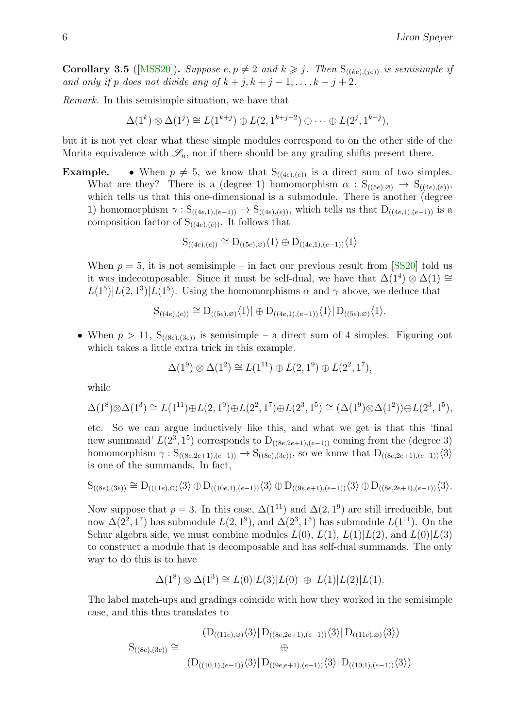<span id="page-5-0"></span>**Corollary 3.5** ([\[MSS20\]](#page-7-4)). Suppose  $e, p \neq 2$  and  $k \geq j$ . Then  $S_{((ke),(je))}$  is semisimple if and only if p does not divide any of  $k + j$ ,  $k + j - 1, \ldots, k - j + 2$ .

Remark. In this semisimple situation, we have that

$$
\Delta(1^k) \otimes \Delta(1^j) \cong L(1^{k+j}) \oplus L(2, 1^{k+j-2}) \oplus \cdots \oplus L(2^j, 1^{k-j}),
$$

but it is not yet clear what these simple modules correspond to on the other side of the Morita equivalence with  $\mathscr{S}_n$ , nor if there should be any grading shifts present there.

**Example.** • When  $p \neq 5$ , we know that  $S_{((4e),(e))}$  is a direct sum of two simples. What are they? There is a (degree 1) homomorphism  $\alpha : S_{((5e),\varnothing)} \to S_{((4e),(e))}$ , which tells us that this one-dimensional is a submodule. There is another (degree 1) homomorphism  $\gamma : S_{((4e,1),(e-1))} \to S_{((4e),(e))}$ , which tells us that  $D_{((4e,1),(e-1))}$  is a composition factor of  $S_{((4e),(e))}$ . It follows that

$$
S_{((4e),(e))} \cong D_{((5e),\varnothing)}\langle 1 \rangle \oplus D_{((4e,1),(e-1))}\langle 1 \rangle
$$

When  $p = 5$ , it is not semisimple – in fact our previous result from [\[SS20\]](#page-7-3) told us it was indecomposable. Since it must be self-dual, we have that  $\Delta(1^4) \otimes \Delta(1) \cong$  $L(1^5)|L(2,1^3)|L(1^5)$ . Using the homomorphisms  $\alpha$  and  $\gamma$  above, we deduce that

$$
S_{((4e),(e))} \cong D_{((5e),\varnothing)}\langle 1 \rangle | \oplus D_{((4e,1),(e-1))}\langle 1 \rangle | D_{((5e),\varnothing)}\langle 1 \rangle.
$$

• When  $p > 11$ ,  $S_{((8e),(3e))}$  is semisimple – a direct sum of 4 simples. Figuring out which takes a little extra trick in this example.

$$
\Delta(1^9) \otimes \Delta(1^2) \cong L(1^{11}) \oplus L(2, 1^9) \oplus L(2^2, 1^7),
$$

while

$$
\Delta(1^8) \otimes \Delta(1^3) \cong L(1^{11}) \oplus L(2, 1^9) \oplus L(2^2, 1^7) \oplus L(2^3, 1^5) \cong (\Delta(1^9) \otimes \Delta(1^2)) \oplus L(2^3, 1^5),
$$

etc. So we can argue inductively like this, and what we get is that this 'final new summand'  $L(2^3, 1^5)$  corresponds to  $D_{((8e, 2e+1),(e-1))}$  coming from the (degree 3) homomorphism  $\gamma : S_{((8e,2e+1),(e-1))} \rightarrow S_{((8e),(3e))}$ , so we know that  $D_{((8e,2e+1),(e-1))}\langle 3 \rangle$ is one of the summands. In fact,

$$
S_{((8e),(3e))}\cong D_{((11e),\varnothing)}\langle 3\rangle\oplus D_{((10e,1),(e-1))}\langle 3\rangle\oplus D_{((9e,e+1),(e-1))}\langle 3\rangle\oplus D_{((8e,2e+1),(e-1))}\langle 3\rangle.
$$

Now suppose that  $p = 3$ . In this case,  $\Delta(1^{11})$  and  $\Delta(2, 1^9)$  are still irreducible, but now  $\Delta(2^2, 1^7)$  has submodule  $L(2, 1^9)$ , and  $\Delta(2^3, 1^5)$  has submodule  $L(1^{11})$ . On the Schur algebra side, we must combine modules  $L(0)$ ,  $L(1)$ ,  $L(1)|L(2)$ , and  $L(0)|L(3)$ to construct a module that is decomposable and has self-dual summands. The only way to do this is to have

$$
\Delta(1^8) \otimes \Delta(1^3) \cong L(0)|L(3)|L(0) \oplus L(1)|L(2)|L(1).
$$

The label match-ups and gradings coincide with how they worked in the semisimple case, and this thus translates to

$$
S_{((8e),(3e))} \cong \bigoplus_{(2)(10,1),(e-1))} \langle 3 \rangle | D_{((8e,2e+1),(e-1))} \langle 3 \rangle | D_{((11e),\varnothing)} \langle 3 \rangle \big)
$$
  
\n
$$
\oplus \bigoplus_{(2)(10,1),(e-1))} \langle 3 \rangle | D_{((9e,e+1),(e-1))} \langle 3 \rangle | D_{((10,1),(e-1))} \langle 3 \rangle \big)
$$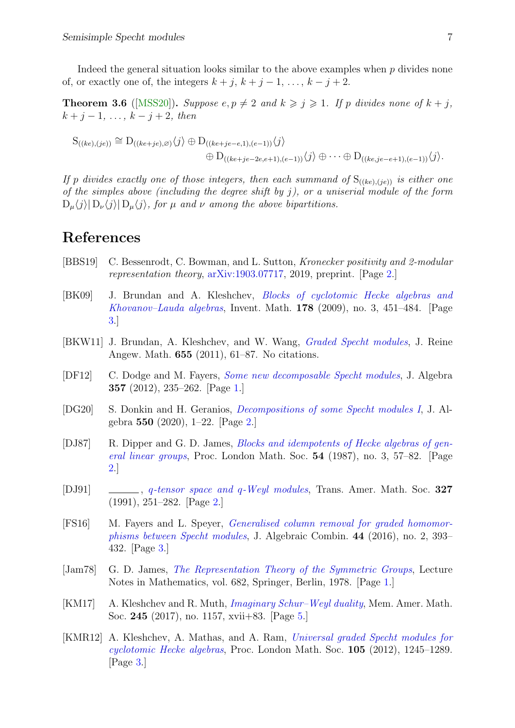<span id="page-6-10"></span>Indeed the general situation looks similar to the above examples when  $p$  divides none of, or exactly one of, the integers  $k + j$ ,  $k + j - 1$ , ...,  $k - j + 2$ .

**Theorem 3.6** ([\[MSS20\]](#page-7-4)). Suppose  $e, p \neq 2$  and  $k \geq j \geq 1$ . If p divides none of  $k + j$ ,  $k + j - 1, \ldots, k - j + 2, \text{ then}$ 

$$
S_{((ke),(je))} \cong D_{((ke+je),\varnothing)}\langle j \rangle \oplus D_{((ke+je-e,1),(e-1))}\langle j \rangle
$$
  

$$
\oplus D_{((ke+je-2e,e+1),(e-1))}\langle j \rangle \oplus \cdots \oplus D_{((ke,je-e+1),(e-1))}\langle j \rangle.
$$

If p divides exactly one of those integers, then each summand of  $S_{((ke),(je))}$  is either one of the simples above (including the degree shift by j), or a uniserial module of the form  $D_{\mu}\langle j \rangle | D_{\nu}\langle j \rangle | D_{\mu}\langle j \rangle$ , for  $\mu$  and  $\nu$  among the above bipartitions.

### References

- <span id="page-6-5"></span>[BBS19] C. Bessenrodt, C. Bowman, and L. Sutton, Kronecker positivity and 2-modular representation theory, [arXiv:1903.07717,](https://arxiv.org/abs/1903.07717) 2019, preprint. [Page [2.](#page-1-0)]
- <span id="page-6-6"></span>[BK09] J. Brundan and A. Kleshchev, [Blocks of cyclotomic Hecke algebras and](http://dx.doi.org/10.1007/s00222-009-0204-8) [Khovanov–Lauda algebras](http://dx.doi.org/10.1007/s00222-009-0204-8), Invent. Math. 178 (2009), no. 3, 451–484. [Page [3.](#page-2-0)]
- [BKW11] J. Brundan, A. Kleshchev, and W. Wang, [Graded Specht modules](http://dx.doi.org/10.1515/CRELLE.2011.033), J. Reine Angew. Math. 655 (2011), 61–87. No citations.
- <span id="page-6-1"></span>[DF12] C. Dodge and M. Fayers, [Some new decomposable Specht modules](http://dx.doi.org/10.1016/j.jalgebra.2012.01.035), J. Algebra 357 (2012), 235–262. [Page [1.](#page-0-0)]
- <span id="page-6-4"></span>[DG20] S. Donkin and H. Geranios, [Decompositions of some Specht modules I](https://doi.org/10.1016/j.jalgebra.2019.12.017), J. Algebra 550 (2020), 1–22. [Page [2.](#page-1-0)]
- <span id="page-6-2"></span>[DJ87] R. Dipper and G. D. James, *[Blocks and idempotents of Hecke algebras of gen](http://dx.doi.org/10.1112/plms/s3-54.1.57)*[eral linear groups](http://dx.doi.org/10.1112/plms/s3-54.1.57), Proc. London Math. Soc.  $54$  (1987), no. 3, 57–82. [Page [2.](#page-1-0)]
- <span id="page-6-3"></span>[DJ91] , q[-tensor space and](http://dx.doi.org/10.2307/2001842) q-Weyl modules, Trans. Amer. Math. Soc. 327 (1991), 251–282. [Page [2.](#page-1-0)]
- <span id="page-6-8"></span>[FS16] M. Fayers and L. Speyer, [Generalised column removal for graded homomor](https://doi.org/10.1007/s10801-016-0674-x)[phisms between Specht modules](https://doi.org/10.1007/s10801-016-0674-x), J. Algebraic Combin. 44 (2016), no. 2, 393– 432. [Page [3.](#page-2-0)]
- <span id="page-6-0"></span>[Jam78] G. D. James, [The Representation Theory of the Symmetric Groups](http://dx.doi.org/10.1007/BFb0067708), Lecture Notes in Mathematics, vol. 682, Springer, Berlin, 1978. [Page [1.](#page-0-0)]
- <span id="page-6-9"></span>[KM17] A. Kleshchev and R. Muth, [Imaginary Schur–Weyl duality](https://doi.org/10.1090/memo/1157), Mem. Amer. Math. Soc. 245 (2017), no. 1157, xvii+83. [Page [5.](#page-4-0)]
- <span id="page-6-7"></span>[KMR12] A. Kleshchev, A. Mathas, and A. Ram, [Universal graded Specht modules for](http://dx.doi.org/10.1112/plms/pds019) [cyclotomic Hecke algebras](http://dx.doi.org/10.1112/plms/pds019), Proc. London Math. Soc. 105 (2012), 1245–1289. [Page [3.](#page-2-0)]